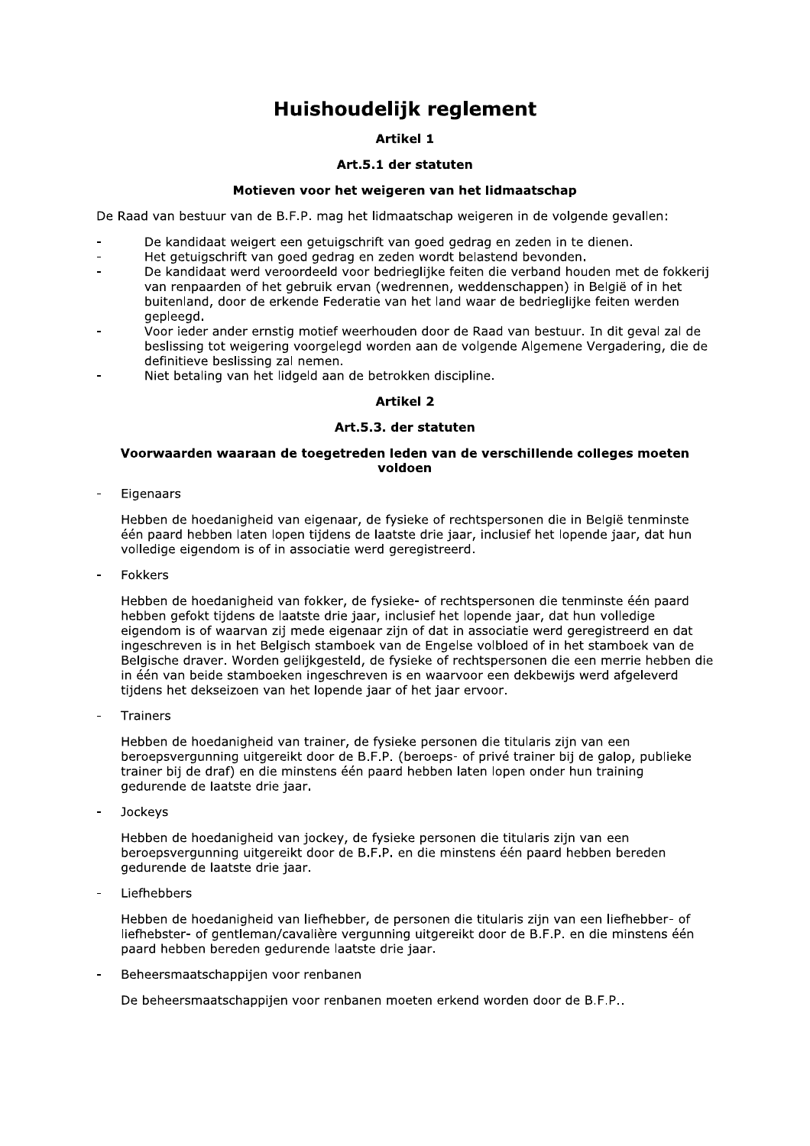# Huishoudelijk reglement

# **Artikel 1**

# Art.5.1 der statuten

# Motieven voor het weigeren van het lidmaatschap

De Raad van bestuur van de B.F.P. mag het lidmaatschap weigeren in de volgende gevallen:

- De kandidaat weigert een getuigschrift van goed gedrag en zeden in te dienen.
- Het getuigschrift van goed gedrag en zeden wordt belastend bevonden.  $\overline{a}$
- De kandidaat werd veroordeeld voor bedrieglijke feiten die verband houden met de fokkerij van renpaarden of het gebruik ervan (wedrennen, weddenschappen) in België of in het buitenland, door de erkende Federatie van het land waar de bedrieglijke feiten werden gepleegd.
- Voor ieder ander ernstig motief weerhouden door de Raad van bestuur. In dit geval zal de beslissing tot weigering voorgelegd worden aan de volgende Algemene Vergadering, die de definitieve beslissing zal nemen.
- Niet betaling van het lidgeld aan de betrokken discipline.

# **Artikel 2**

# Art.5.3. der statuten

# Voorwaarden waaraan de toegetreden leden van de verschillende colleges moeten voldoen

Eigenaars

Hebben de hoedanigheid van eigenaar, de fysieke of rechtspersonen die in België tenminste één paard hebben laten lopen tijdens de laatste drie jaar, inclusief het lopende jaar, dat hun volledige eigendom is of in associatie werd geregistreerd.

Fokkers

Hebben de hoedanigheid van fokker, de fysieke- of rechtspersonen die tenminste één paard hebben gefokt tijdens de laatste drie jaar, inclusief het lopende jaar, dat hun volledige eigendom is of waarvan zij mede eigenaar zijn of dat in associatie werd geregistreerd en dat ingeschreven is in het Belgisch stamboek van de Engelse volbloed of in het stamboek van de Belgische draver. Worden gelijkgesteld, de fysieke of rechtspersonen die een merrie hebben die in één van beide stamboeken ingeschreven is en waarvoor een dekbewijs werd afgeleverd tijdens het dekseizoen van het lopende jaar of het jaar ervoor.

Trainers

Hebben de hoedanigheid van trainer, de fysieke personen die titularis zijn van een beroepsyergunning uitgereikt door de B.F.P. (beroeps- of privé trainer bij de galop, publieke trainer bij de draf) en die minstens één paard hebben laten lopen onder hun training gedurende de laatste drie jaar.

Jockeys

Hebben de hoedanigheid van jockey, de fysieke personen die titularis zijn van een beroepsvergunning uitgereikt door de B.F.P. en die minstens één paard hebben bereden gedurende de laatste drie jaar.

Liefhebbers

Hebben de hoedanigheid van liefhebber, de personen die titularis zijn van een liefhebber- of liefhebster- of gentleman/cavalière vergunning uitgereikt door de B.F.P. en die minstens één paard hebben bereden gedurende laatste drie jaar.

Beheersmaatschappijen voor renbanen

De beheersmaatschappijen voor renbanen moeten erkend worden door de B.F.P..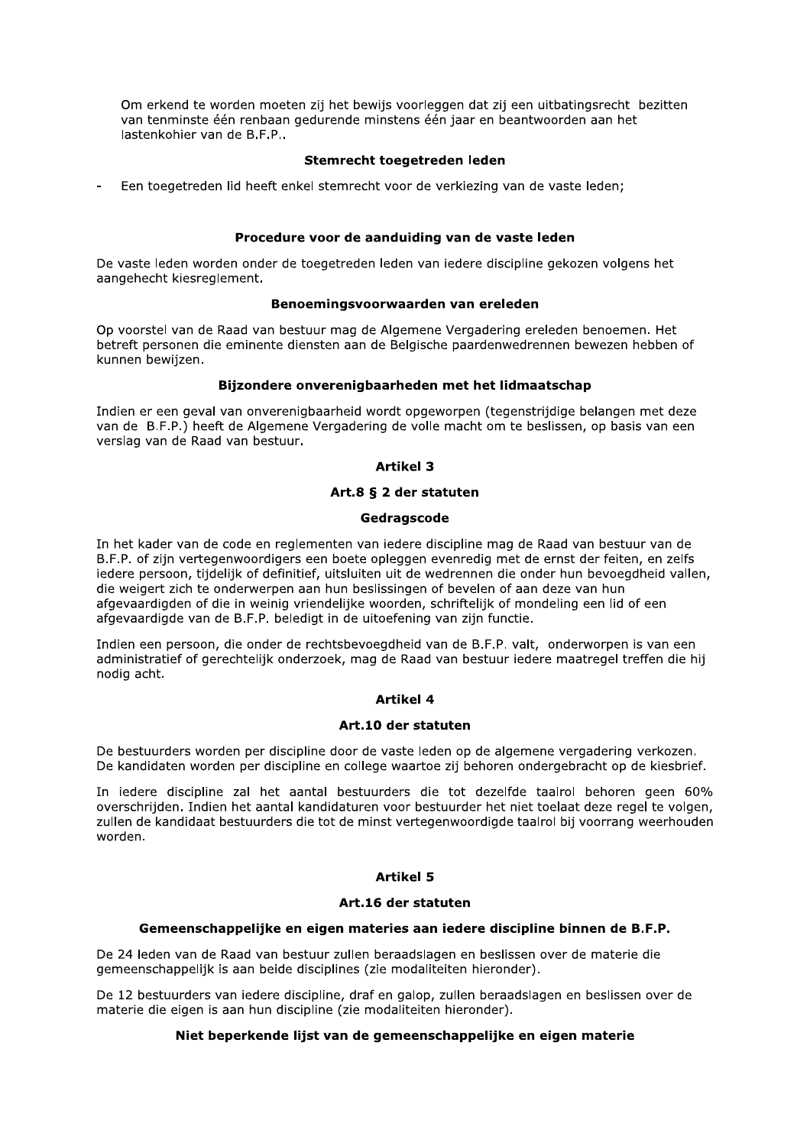Om erkend te worden moeten zij het bewijs voorleggen dat zij een uitbatingsrecht bezitten van tenminste één renbaan gedurende minstens één jaar en beantwoorden aan het lastenkohier van de B.F.P..

# Stemrecht toegetreden leden

Een toegetreden lid heeft enkel stemrecht voor de verkiezing van de vaste leden;

#### Procedure voor de aanduiding van de vaste leden

De vaste leden worden onder de toegetreden leden van iedere discipline gekozen volgens het aangehecht kiesreglement.

#### Benoemingsvoorwaarden van ereleden

Op voorstel van de Raad van bestuur mag de Algemene Vergadering ereleden benoemen. Het betreft personen die eminente diensten aan de Belgische paardenwedrennen bewezen hebben of kunnen bewiizen.

### Bijzondere onverenigbaarheden met het lidmaatschap

Indien er een geval van onverenigbaarheid wordt opgeworpen (tegenstrijdige belangen met deze van de B.F.P.) heeft de Algemene Vergadering de volle macht om te beslissen, op basis van een verslag van de Raad van bestuur.

# **Artikel 3**

# Art.8 § 2 der statuten

#### Gedragscode

In het kader van de code en reglementen van iedere discipline mag de Raad van bestuur van de B.F.P. of zijn vertegenwoordigers een boete opleggen evenredig met de ernst der feiten, en zelfs jedere persoon, tijdelijk of definitief, uitsluiten uit de wedrennen die onder hun bevoegdheid vallen, die weigert zich te onderwerpen aan hun beslissingen of bevelen of aan deze van hun afgevaardigden of die in weinig vriendelijke woorden, schriftelijk of mondeling een lid of een afgevaardigde van de B.F.P. beledigt in de uitoefening van zijn functie.

Indien een persoon, die onder de rechtsbevoegdheid van de B.F.P. valt, onderworpen is van een administratief of gerechtelijk onderzoek, mag de Raad van bestuur iedere maatregel treffen die hij nodig acht.

# **Artikel 4**

#### Art.10 der statuten

De bestuurders worden per discipline door de vaste leden op de algemene vergadering verkozen. De kandidaten worden per discipline en college waartoe zij behoren ondergebracht op de kiesbrief.

In iedere discipline zal het aantal bestuurders die tot dezelfde taalrol behoren geen 60% overschrijden. Indien het aantal kandidaturen voor bestuurder het niet toelaat deze regel te volgen. zullen de kandidaat bestuurders die tot de minst vertegenwoordigde taalrol bij voorrang weerhouden worden.

# **Artikel 5**

# Art.16 der statuten

#### Gemeenschappelijke en eigen materies aan iedere discipline binnen de B.F.P.

De 24 leden van de Raad van bestuur zullen beraadslagen en beslissen over de materie die gemeenschappelijk is aan beide disciplines (zie modaliteiten hieronder).

De 12 bestuurders van iedere discipline, draf en galop, zullen beraadslagen en beslissen over de materie die eigen is aan hun discipline (zie modaliteiten hieronder).

# Niet beperkende lijst van de gemeenschappelijke en eigen materie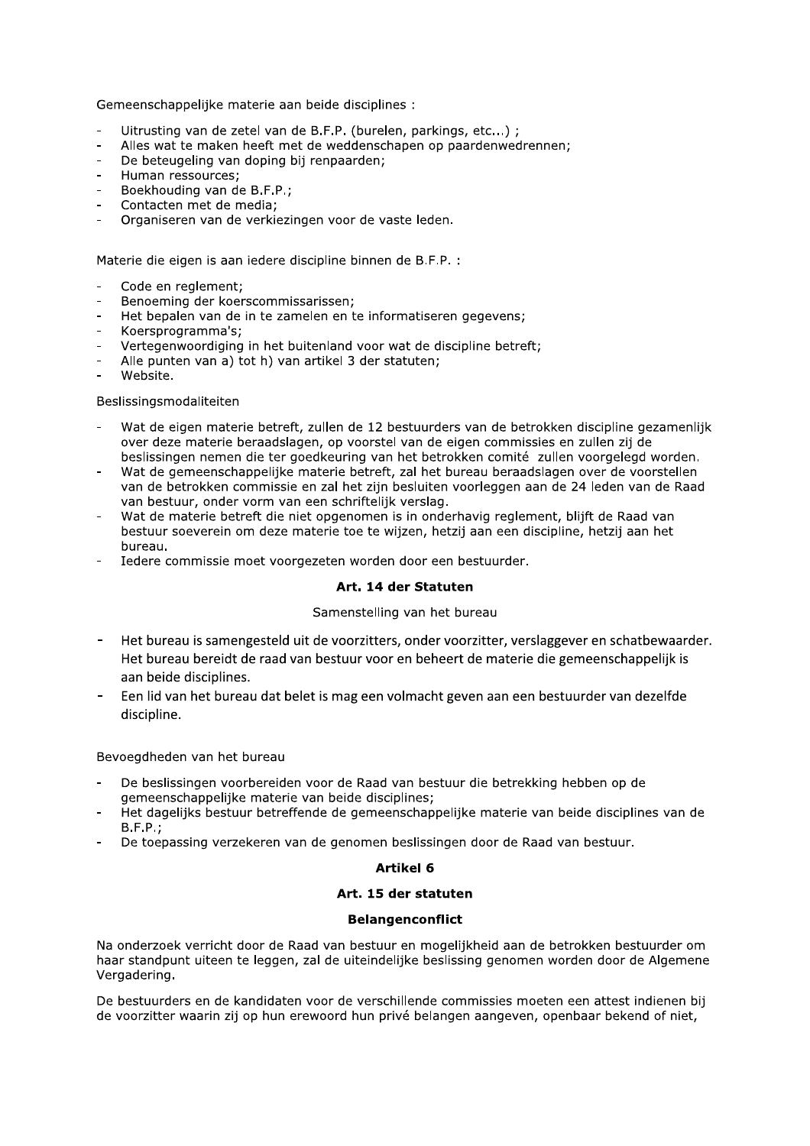Gemeenschappelijke materie aan beide disciplines :

- Uitrusting van de zetel van de B.F.P. (burelen, parkings, etc...);
- Alles wat te maken heeft met de weddenschapen op paardenwedrennen:
- De beteugeling van doping bij renpaarden:
- Human ressources:
- Boekhouding van de B.F.P.
- Contacten met de media;
- Organiseren van de verkiezingen voor de vaste leden.

Materie die eigen is aan iedere discipline binnen de B.F.P. :

- Code en reglement;
- Benoeming der koerscommissarissen;
- Het bepalen van de in te zamelen en te informatiseren gegevens;
- Koersprogramma's;
- Vertegenwoordiging in het buitenland voor wat de discipline betreft;
- Alle punten van a) tot h) van artikel 3 der statuten;
- Website.

#### Beslissingsmodaliteiten

- Wat de eigen materie betreft, zullen de 12 bestuurders van de betrokken discipline gezamenlijk over deze materie beraadslagen, op voorstel van de eigen commissies en zullen zij de beslissingen nemen die ter goedkeuring van het betrokken comité zullen voorgelegd worden.
- Wat de gemeenschappelijke materie betreft, zal het bureau beraadslagen over de voorstellen van de betrokken commissie en zal het zijn besluiten voorleggen aan de 24 leden van de Raad van bestuur, onder vorm van een schriftelijk verslag.
- Wat de materie betreft die niet opgenomen is in onderhavig reglement, blijft de Raad van bestuur soeverein om deze materie toe te wijzen, hetzij aan een discipline, hetzij aan het bureau.
- Iedere commissie moet voorgezeten worden door een bestuurder.

#### Art. 14 der Statuten

#### Samenstelling van het bureau

- Het bureau is samengesteld uit de voorzitters, onder voorzitter, verslaggever en schatbewaarder. Het bureau bereidt de raad van bestuur voor en beheert de materie die gemeenschappelijk is aan beide disciplines.
- Een lid van het bureau dat belet is mag een volmacht geven aan een bestuurder van dezelfde discipline.

# Bevoegdheden van het bureau

- De beslissingen voorbereiden voor de Raad van bestuur die betrekking hebben op de gemeenschappelijke materie van beide disciplines;
- Het dagelijks bestuur betreffende de gemeenschappelijke materie van beide disciplines van de  $B.F.P.$
- De toepassing verzekeren van de genomen beslissingen door de Raad van bestuur.

#### **Artikel 6**

#### Art. 15 der statuten

#### **Belangenconflict**

Na onderzoek verricht door de Raad van bestuur en mogelijkheid aan de betrokken bestuurder om haar standpunt uiteen te leggen, zal de uiteindelijke beslissing genomen worden door de Algemene Vergadering.

De bestuurders en de kandidaten voor de verschillende commissies moeten een attest indienen bij de voorzitter waarin zij op hun erewoord hun privé belangen aangeven, openbaar bekend of niet,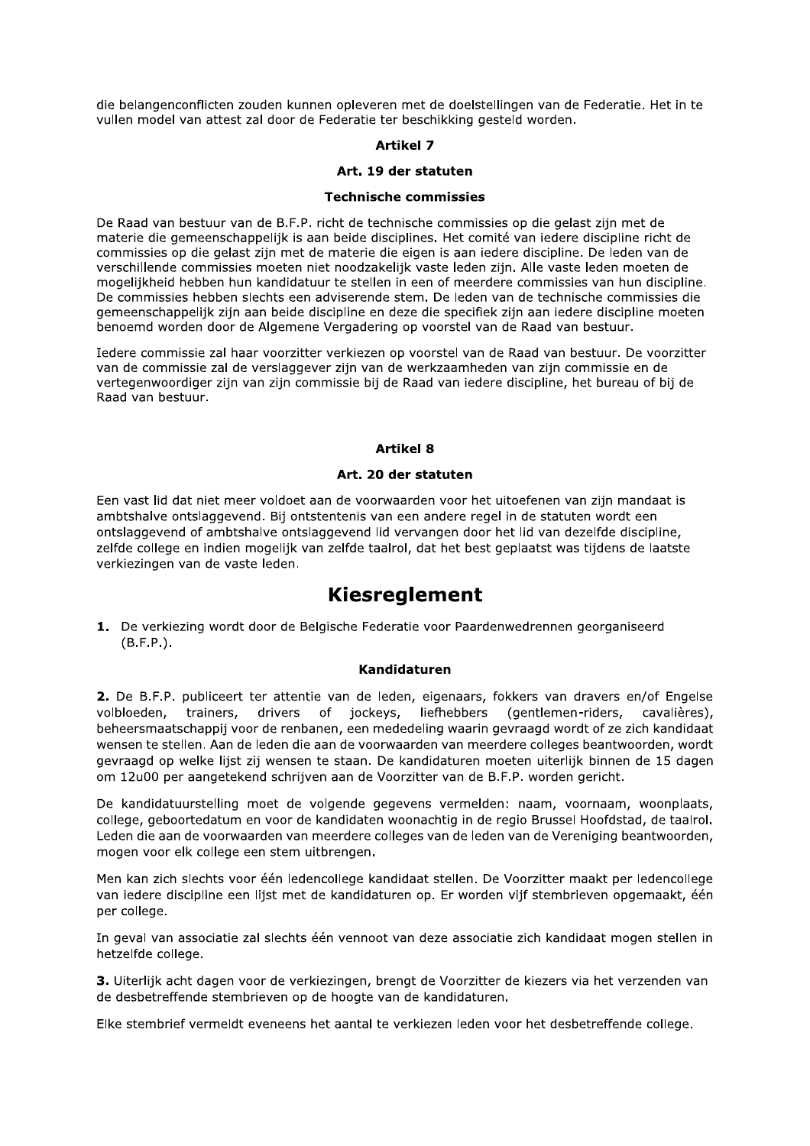die belangenconflicten zouden kunnen opleveren met de doelstellingen van de Federatie. Het in te vullen model van attest zal door de Federatie ter beschikking gesteld worden.

# **Artikel 7**

# Art. 19 der statuten

#### **Technische commissies**

De Raad van bestuur van de B.F.P. richt de technische commissies op die gelast zijn met de materie die gemeenschappelijk is aan beide disciplines. Het comité van iedere discipline richt de commissies op die gelast zijn met de materie die eigen is aan jedere discipline. De leden van de verschillende commissies moeten niet noodzakelijk vaste leden zijn. Alle vaste leden moeten de mogelijkheid hebben hun kandidatuur te stellen in een of meerdere commissies van hun discipline. De commissies hebben slechts een adviserende stem. De leden van de technische commissies die gemeenschappelijk zijn aan beide discipline en deze die specifiek zijn aan iedere discipline moeten benoemd worden door de Algemene Vergadering op voorstel van de Raad van bestuur.

Iedere commissie zal haar voorzitter verkiezen op voorstel van de Raad van bestuur. De voorzitter van de commissie zal de verslaggever zijn van de werkzaamheden van zijn commissie en de vertegenwoordiger zijn van zijn commissie bij de Raad van iedere discipline, het bureau of bij de Raad van bestuur.

#### **Artikel 8**

#### Art. 20 der statuten

Een vast lid dat niet meer voldoet aan de voorwaarden voor het uitoefenen van zijn mandaat is ambtshalve ontslaggevend. Bij ontstentenis van een andere regel in de statuten wordt een ontslaggevend of ambtshalve ontslaggevend lid vervangen door het lid van dezelfde discipline, zelfde college en indien mogelijk van zelfde taalrol, dat het best geplaatst was tijdens de laatste verkiezingen van de vaste leden.

# **Kiesreglement**

1. De verkiezing wordt door de Belgische Federatie voor Paardenwedrennen georganiseerd  $(B.F.P.)$ .

### Kandidaturen

2. De B.F.P. publiceert ter attentie van de leden, eigenaars, fokkers van dravers en/of Engelse drivers of jockeys, liefhebbers volbloeden. trainers, (gentlemen-riders, cavalières), beheersmaatschappij voor de renbanen, een mededeling waarin gevraagd wordt of ze zich kandidaat wensen te stellen. Aan de leden die aan de voorwaarden van meerdere colleges beantwoorden, wordt gevraagd op welke lijst zij wensen te staan. De kandidaturen moeten uiterlijk binnen de 15 dagen om 12u00 per aangetekend schrijven aan de Voorzitter van de B.F.P. worden gericht.

De kandidatuurstelling moet de volgende gegevens vermelden: naam, voornaam, woonplaats, college, geboortedatum en voor de kandidaten woonachtig in de regio Brussel Hoofdstad, de taalrol. Leden die aan de voorwaarden van meerdere colleges van de leden van de Vereniging beantwoorden, mogen voor elk college een stem uitbrengen.

Men kan zich slechts voor één ledencollege kandidaat stellen. De Voorzitter maakt per ledencollege van jedere discipline een lijst met de kandidaturen op. Er worden vijf stembrieven opgemaakt, één per college.

In geval van associatie zal slechts één vennoot van deze associatie zich kandidaat mogen stellen in hetzelfde college.

3. Uiterlijk acht dagen voor de verkiezingen, brengt de Voorzitter de kiezers via het verzenden van de desbetreffende stembrieven op de hoogte van de kandidaturen.

Elke stembrief vermeldt eveneens het aantal te verkiezen leden voor het desbetreffende college.